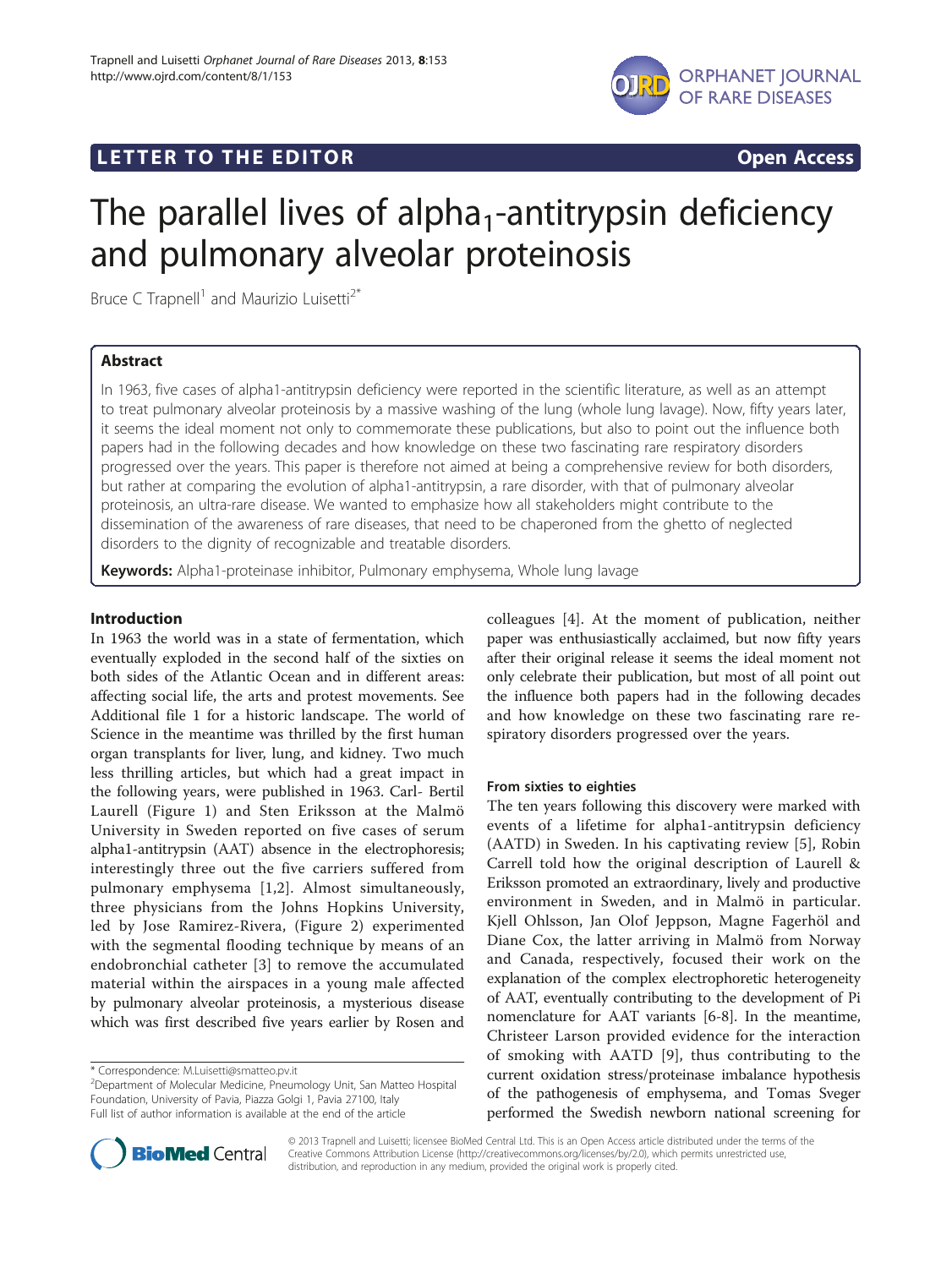

## **LETTER TO THE EDITOR CONSIDERING ACCESS**



# The parallel lives of alpha<sub>1</sub>-antitrypsin deficiency and pulmonary alveolar proteinosis

Bruce C Trapnell<sup>1</sup> and Maurizio Luisetti<sup>2\*</sup>

## Abstract

In 1963, five cases of alpha1-antitrypsin deficiency were reported in the scientific literature, as well as an attempt to treat pulmonary alveolar proteinosis by a massive washing of the lung (whole lung lavage). Now, fifty years later, it seems the ideal moment not only to commemorate these publications, but also to point out the influence both papers had in the following decades and how knowledge on these two fascinating rare respiratory disorders progressed over the years. This paper is therefore not aimed at being a comprehensive review for both disorders, but rather at comparing the evolution of alpha1-antitrypsin, a rare disorder, with that of pulmonary alveolar proteinosis, an ultra-rare disease. We wanted to emphasize how all stakeholders might contribute to the dissemination of the awareness of rare diseases, that need to be chaperoned from the ghetto of neglected disorders to the dignity of recognizable and treatable disorders.

Keywords: Alpha1-proteinase inhibitor, Pulmonary emphysema, Whole lung lavage

## Introduction

In 1963 the world was in a state of fermentation, which eventually exploded in the second half of the sixties on both sides of the Atlantic Ocean and in different areas: affecting social life, the arts and protest movements. See Additional file [1](#page-4-0) for a historic landscape. The world of Science in the meantime was thrilled by the first human organ transplants for liver, lung, and kidney. Two much less thrilling articles, but which had a great impact in the following years, were published in 1963. Carl- Bertil Laurell (Figure [1\)](#page-1-0) and Sten Eriksson at the Malmö University in Sweden reported on five cases of serum alpha1-antitrypsin (AAT) absence in the electrophoresis; interestingly three out the five carriers suffered from pulmonary emphysema [[1,2](#page-4-0)]. Almost simultaneously, three physicians from the Johns Hopkins University, led by Jose Ramirez-Rivera, (Figure [2\)](#page-1-0) experimented with the segmental flooding technique by means of an endobronchial catheter [[3\]](#page-4-0) to remove the accumulated material within the airspaces in a young male affected by pulmonary alveolar proteinosis, a mysterious disease which was first described five years earlier by Rosen and

colleagues [\[4](#page-4-0)]. At the moment of publication, neither paper was enthusiastically acclaimed, but now fifty years after their original release it seems the ideal moment not only celebrate their publication, but most of all point out the influence both papers had in the following decades and how knowledge on these two fascinating rare respiratory disorders progressed over the years.

## From sixties to eighties

The ten years following this discovery were marked with events of a lifetime for alpha1-antitrypsin deficiency (AATD) in Sweden. In his captivating review [\[5](#page-4-0)], Robin Carrell told how the original description of Laurell & Eriksson promoted an extraordinary, lively and productive environment in Sweden, and in Malmö in particular. Kjell Ohlsson, Jan Olof Jeppson, Magne Fagerhöl and Diane Cox, the latter arriving in Malmö from Norway and Canada, respectively, focused their work on the explanation of the complex electrophoretic heterogeneity of AAT, eventually contributing to the development of Pi nomenclature for AAT variants [\[6-8](#page-4-0)]. In the meantime, Christeer Larson provided evidence for the interaction of smoking with AATD [[9\]](#page-4-0), thus contributing to the current oxidation stress/proteinase imbalance hypothesis of the pathogenesis of emphysema, and Tomas Sveger performed the Swedish newborn national screening for



© 2013 Trapnell and Luisetti; licensee BioMed Central Ltd. This is an Open Access article distributed under the terms of the Creative Commons Attribution License (<http://creativecommons.org/licenses/by/2.0>), which permits unrestricted use, distribution, and reproduction in any medium, provided the original work is properly cited.

<sup>\*</sup> Correspondence: [M.Luisetti@smatteo.pv.it](mailto:M.Luisetti@smatteo.pv.it) <sup>2</sup>

<sup>&</sup>lt;sup>2</sup>Department of Molecular Medicine, Pneumology Unit, San Matteo Hospital Foundation, University of Pavia, Piazza Golgi 1, Pavia 27100, Italy Full list of author information is available at the end of the article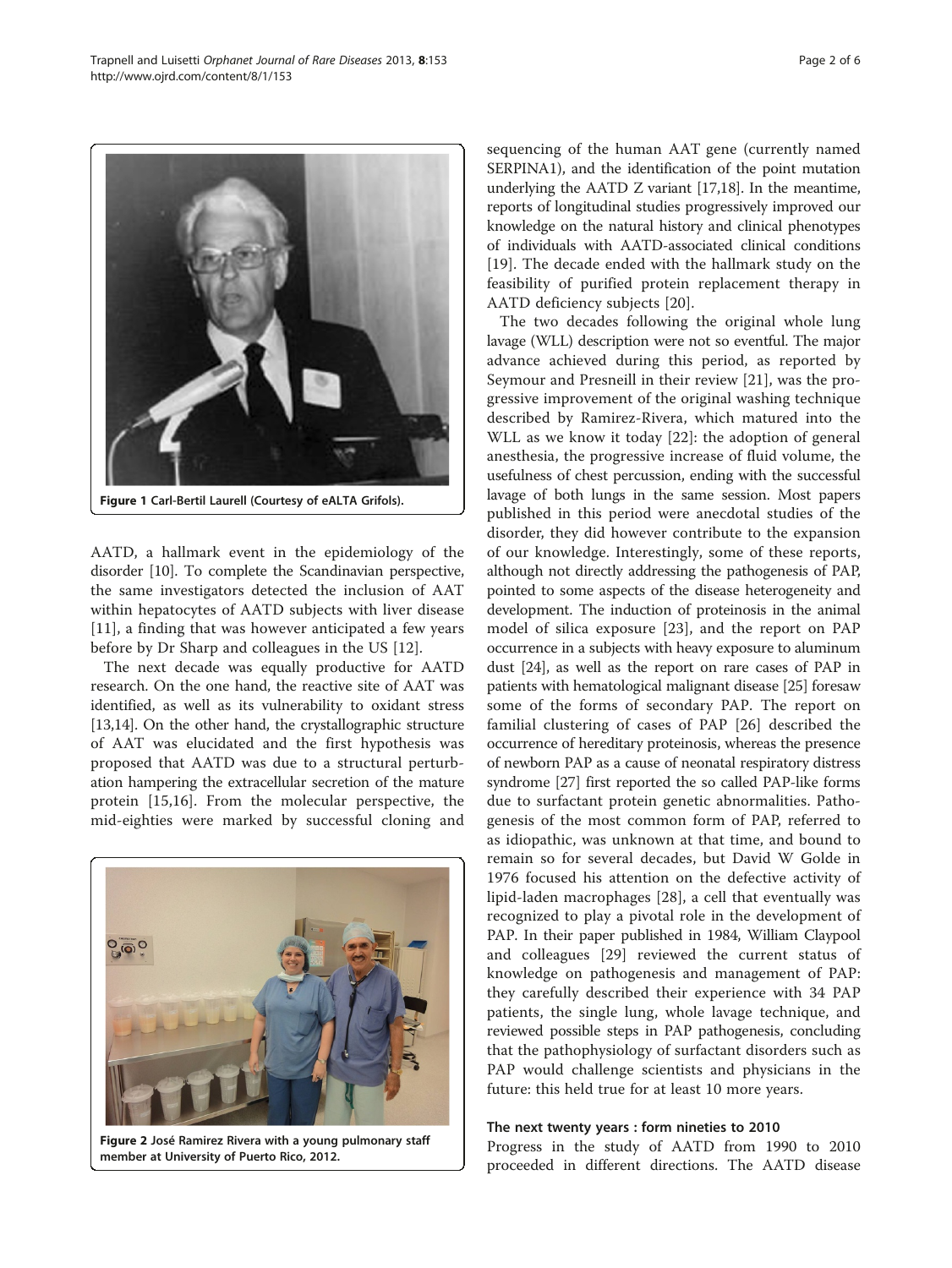<span id="page-1-0"></span>

AATD, a hallmark event in the epidemiology of the disorder [\[10](#page-4-0)]. To complete the Scandinavian perspective, the same investigators detected the inclusion of AAT within hepatocytes of AATD subjects with liver disease [[11\]](#page-4-0), a finding that was however anticipated a few years before by Dr Sharp and colleagues in the US [\[12](#page-4-0)].

The next decade was equally productive for AATD research. On the one hand, the reactive site of AAT was identified, as well as its vulnerability to oxidant stress [[13,14](#page-4-0)]. On the other hand, the crystallographic structure of AAT was elucidated and the first hypothesis was proposed that AATD was due to a structural perturbation hampering the extracellular secretion of the mature protein [[15,16\]](#page-4-0). From the molecular perspective, the mid-eighties were marked by successful cloning and



Figure 2 José Ramirez Rivera with a young pulmonary staff member at University of Puerto Rico, 2012.

sequencing of the human AAT gene (currently named SERPINA1), and the identification of the point mutation underlying the AATD Z variant [\[17,18](#page-4-0)]. In the meantime, reports of longitudinal studies progressively improved our knowledge on the natural history and clinical phenotypes of individuals with AATD-associated clinical conditions [[19\]](#page-4-0). The decade ended with the hallmark study on the feasibility of purified protein replacement therapy in AATD deficiency subjects [\[20](#page-4-0)].

The two decades following the original whole lung lavage (WLL) description were not so eventful. The major advance achieved during this period, as reported by Seymour and Presneill in their review [[21](#page-4-0)], was the progressive improvement of the original washing technique described by Ramirez-Rivera, which matured into the WLL as we know it today [[22](#page-4-0)]: the adoption of general anesthesia, the progressive increase of fluid volume, the usefulness of chest percussion, ending with the successful lavage of both lungs in the same session. Most papers published in this period were anecdotal studies of the disorder, they did however contribute to the expansion of our knowledge. Interestingly, some of these reports, although not directly addressing the pathogenesis of PAP, pointed to some aspects of the disease heterogeneity and development. The induction of proteinosis in the animal model of silica exposure [[23](#page-4-0)], and the report on PAP occurrence in a subjects with heavy exposure to aluminum dust [\[24\]](#page-4-0), as well as the report on rare cases of PAP in patients with hematological malignant disease [[25](#page-4-0)] foresaw some of the forms of secondary PAP. The report on familial clustering of cases of PAP [\[26](#page-4-0)] described the occurrence of hereditary proteinosis, whereas the presence of newborn PAP as a cause of neonatal respiratory distress syndrome [[27](#page-4-0)] first reported the so called PAP-like forms due to surfactant protein genetic abnormalities. Pathogenesis of the most common form of PAP, referred to as idiopathic, was unknown at that time, and bound to remain so for several decades, but David W Golde in 1976 focused his attention on the defective activity of lipid-laden macrophages [[28\]](#page-4-0), a cell that eventually was recognized to play a pivotal role in the development of PAP. In their paper published in 1984, William Claypool and colleagues [[29](#page-4-0)] reviewed the current status of knowledge on pathogenesis and management of PAP: they carefully described their experience with 34 PAP patients, the single lung, whole lavage technique, and reviewed possible steps in PAP pathogenesis, concluding that the pathophysiology of surfactant disorders such as PAP would challenge scientists and physicians in the future: this held true for at least 10 more years.

#### The next twenty years : form nineties to 2010

Progress in the study of AATD from 1990 to 2010 proceeded in different directions. The AATD disease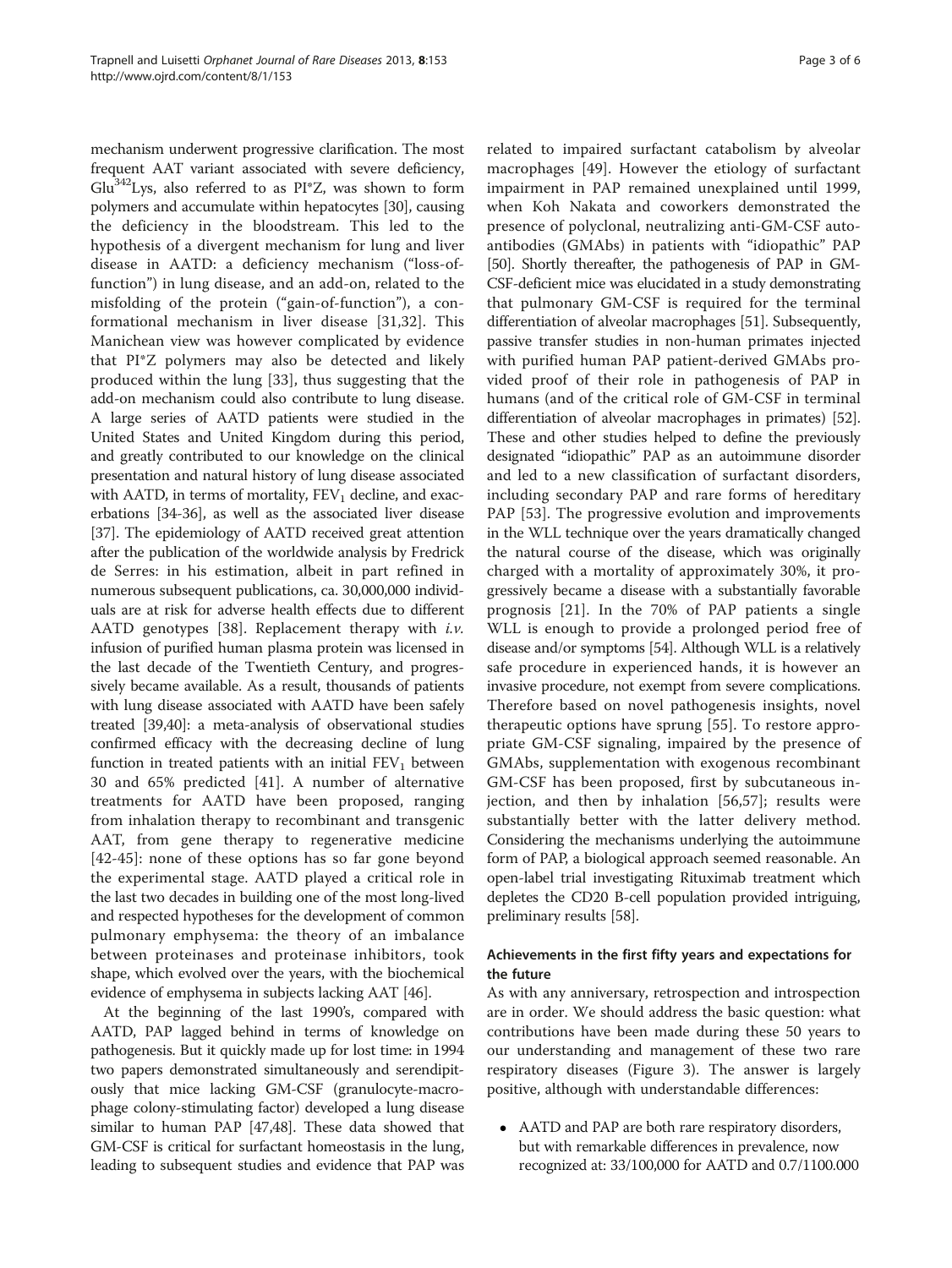mechanism underwent progressive clarification. The most frequent AAT variant associated with severe deficiency,  $Glu<sup>342</sup> Lys$ , also referred to as PI\*Z, was shown to form polymers and accumulate within hepatocytes [\[30\]](#page-4-0), causing the deficiency in the bloodstream. This led to the hypothesis of a divergent mechanism for lung and liver disease in AATD: a deficiency mechanism ("loss-offunction") in lung disease, and an add-on, related to the misfolding of the protein ("gain-of-function"), a conformational mechanism in liver disease [[31,32](#page-4-0)]. This Manichean view was however complicated by evidence that PI\*Z polymers may also be detected and likely produced within the lung [[33\]](#page-4-0), thus suggesting that the add-on mechanism could also contribute to lung disease. A large series of AATD patients were studied in the United States and United Kingdom during this period, and greatly contributed to our knowledge on the clinical presentation and natural history of lung disease associated with AATD, in terms of mortality,  $FEV<sub>1</sub>$  decline, and exacerbations [\[34-36\]](#page-4-0), as well as the associated liver disease [[37](#page-4-0)]. The epidemiology of AATD received great attention after the publication of the worldwide analysis by Fredrick de Serres: in his estimation, albeit in part refined in numerous subsequent publications, ca. 30,000,000 individuals are at risk for adverse health effects due to different AATD genotypes [\[38](#page-4-0)]. Replacement therapy with  $i.\nu$ . infusion of purified human plasma protein was licensed in the last decade of the Twentieth Century, and progressively became available. As a result, thousands of patients with lung disease associated with AATD have been safely treated [[39,40\]](#page-4-0): a meta-analysis of observational studies confirmed efficacy with the decreasing decline of lung function in treated patients with an initial  $FEV<sub>1</sub>$  between 30 and 65% predicted [\[41](#page-5-0)]. A number of alternative treatments for AATD have been proposed, ranging from inhalation therapy to recombinant and transgenic AAT, from gene therapy to regenerative medicine [[42-45\]](#page-5-0): none of these options has so far gone beyond the experimental stage. AATD played a critical role in the last two decades in building one of the most long-lived and respected hypotheses for the development of common pulmonary emphysema: the theory of an imbalance between proteinases and proteinase inhibitors, took shape, which evolved over the years, with the biochemical evidence of emphysema in subjects lacking AAT [\[46](#page-5-0)].

At the beginning of the last 1990's, compared with AATD, PAP lagged behind in terms of knowledge on pathogenesis. But it quickly made up for lost time: in 1994 two papers demonstrated simultaneously and serendipitously that mice lacking GM-CSF (granulocyte-macrophage colony-stimulating factor) developed a lung disease similar to human PAP [[47](#page-5-0),[48](#page-5-0)]. These data showed that GM-CSF is critical for surfactant homeostasis in the lung, leading to subsequent studies and evidence that PAP was

related to impaired surfactant catabolism by alveolar macrophages [\[49](#page-5-0)]. However the etiology of surfactant impairment in PAP remained unexplained until 1999, when Koh Nakata and coworkers demonstrated the presence of polyclonal, neutralizing anti-GM-CSF autoantibodies (GMAbs) in patients with "idiopathic" PAP [[50](#page-5-0)]. Shortly thereafter, the pathogenesis of PAP in GM-CSF-deficient mice was elucidated in a study demonstrating that pulmonary GM-CSF is required for the terminal differentiation of alveolar macrophages [\[51\]](#page-5-0). Subsequently, passive transfer studies in non-human primates injected with purified human PAP patient-derived GMAbs provided proof of their role in pathogenesis of PAP in humans (and of the critical role of GM-CSF in terminal differentiation of alveolar macrophages in primates) [[52](#page-5-0)]. These and other studies helped to define the previously designated "idiopathic" PAP as an autoimmune disorder and led to a new classification of surfactant disorders, including secondary PAP and rare forms of hereditary PAP [[53](#page-5-0)]. The progressive evolution and improvements in the WLL technique over the years dramatically changed the natural course of the disease, which was originally charged with a mortality of approximately 30%, it progressively became a disease with a substantially favorable prognosis [[21\]](#page-4-0). In the 70% of PAP patients a single WLL is enough to provide a prolonged period free of disease and/or symptoms [\[54\]](#page-5-0). Although WLL is a relatively safe procedure in experienced hands, it is however an invasive procedure, not exempt from severe complications. Therefore based on novel pathogenesis insights, novel therapeutic options have sprung [[55\]](#page-5-0). To restore appropriate GM-CSF signaling, impaired by the presence of GMAbs, supplementation with exogenous recombinant GM-CSF has been proposed, first by subcutaneous injection, and then by inhalation [\[56](#page-5-0),[57\]](#page-5-0); results were substantially better with the latter delivery method. Considering the mechanisms underlying the autoimmune form of PAP, a biological approach seemed reasonable. An open-label trial investigating Rituximab treatment which depletes the CD20 B-cell population provided intriguing, preliminary results [\[58\]](#page-5-0).

## Achievements in the first fifty years and expectations for the future

As with any anniversary, retrospection and introspection are in order. We should address the basic question: what contributions have been made during these 50 years to our understanding and management of these two rare respiratory diseases (Figure [3](#page-3-0)). The answer is largely positive, although with understandable differences:

 AATD and PAP are both rare respiratory disorders, but with remarkable differences in prevalence, now recognized at: 33/100,000 for AATD and 0.7/1100.000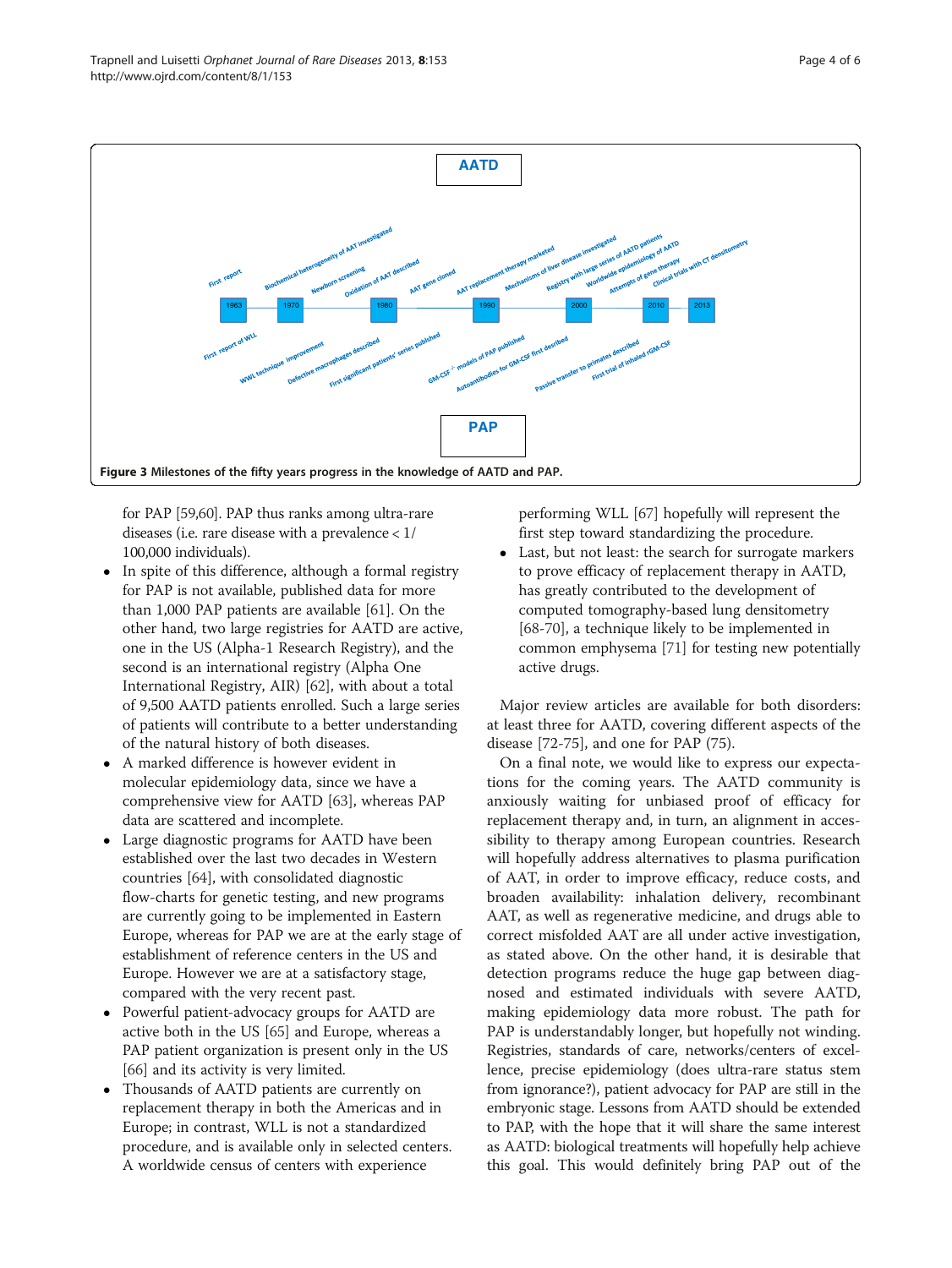<span id="page-3-0"></span>

for PAP [[59,60\]](#page-5-0). PAP thus ranks among ultra-rare diseases (i.e. rare disease with a prevalence < 1/ 100,000 individuals).

- In spite of this difference, although a formal registry for PAP is not available, published data for more than 1,000 PAP patients are available [[61](#page-5-0)]. On the other hand, two large registries for AATD are active, one in the US (Alpha-1 Research Registry), and the second is an international registry (Alpha One International Registry, AIR) [\[62\]](#page-5-0), with about a total of 9,500 AATD patients enrolled. Such a large series of patients will contribute to a better understanding of the natural history of both diseases.
- A marked difference is however evident in molecular epidemiology data, since we have a comprehensive view for AATD [\[63\]](#page-5-0), whereas PAP data are scattered and incomplete.
- Large diagnostic programs for AATD have been established over the last two decades in Western countries [[64\]](#page-5-0), with consolidated diagnostic flow-charts for genetic testing, and new programs are currently going to be implemented in Eastern Europe, whereas for PAP we are at the early stage of establishment of reference centers in the US and Europe. However we are at a satisfactory stage, compared with the very recent past.
- Powerful patient-advocacy groups for AATD are active both in the US [[65](#page-5-0)] and Europe, whereas a PAP patient organization is present only in the US [[66](#page-5-0)] and its activity is very limited.
- Thousands of AATD patients are currently on replacement therapy in both the Americas and in Europe; in contrast, WLL is not a standardized procedure, and is available only in selected centers. A worldwide census of centers with experience

performing WLL [[67](#page-5-0)] hopefully will represent the first step toward standardizing the procedure.

 Last, but not least: the search for surrogate markers to prove efficacy of replacement therapy in AATD, has greatly contributed to the development of computed tomography-based lung densitometry [[68-70\]](#page-5-0), a technique likely to be implemented in common emphysema [\[71\]](#page-5-0) for testing new potentially active drugs.

Major review articles are available for both disorders: at least three for AATD, covering different aspects of the disease [\[72](#page-5-0)-[75\]](#page-5-0), and one for PAP (75).

On a final note, we would like to express our expectations for the coming years. The AATD community is anxiously waiting for unbiased proof of efficacy for replacement therapy and, in turn, an alignment in accessibility to therapy among European countries. Research will hopefully address alternatives to plasma purification of AAT, in order to improve efficacy, reduce costs, and broaden availability: inhalation delivery, recombinant AAT, as well as regenerative medicine, and drugs able to correct misfolded AAT are all under active investigation, as stated above. On the other hand, it is desirable that detection programs reduce the huge gap between diagnosed and estimated individuals with severe AATD, making epidemiology data more robust. The path for PAP is understandably longer, but hopefully not winding. Registries, standards of care, networks/centers of excellence, precise epidemiology (does ultra-rare status stem from ignorance?), patient advocacy for PAP are still in the embryonic stage. Lessons from AATD should be extended to PAP, with the hope that it will share the same interest as AATD: biological treatments will hopefully help achieve this goal. This would definitely bring PAP out of the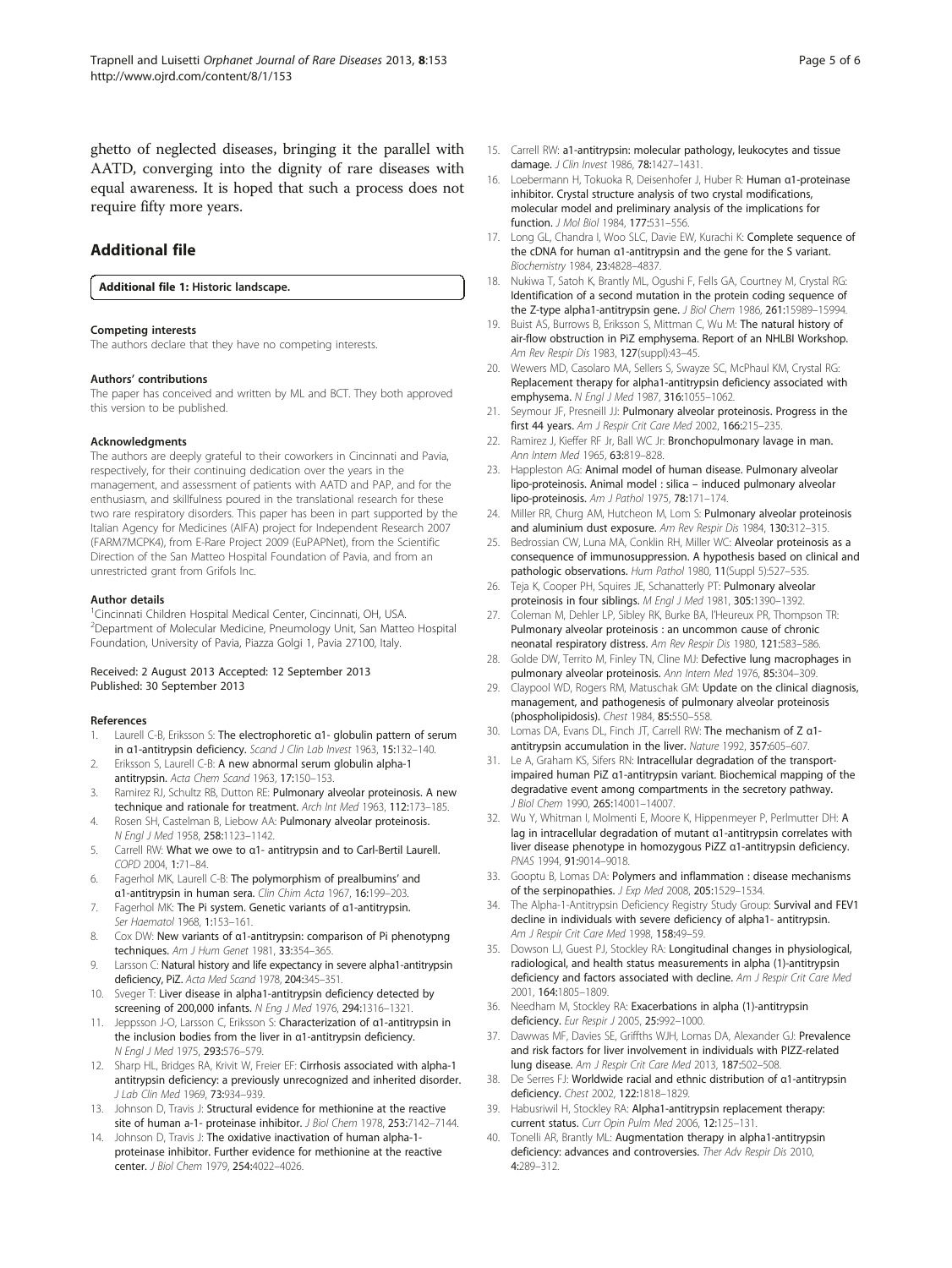<span id="page-4-0"></span>ghetto of neglected diseases, bringing it the parallel with AATD, converging into the dignity of rare diseases with equal awareness. It is hoped that such a process does not require fifty more years.

## Additional file

[Additional file 1:](http://www.biomedcentral.com/content/supplementary/1750-1172-8-153-S1.docx) Historic landscape.

#### Competing interests

The authors declare that they have no competing interests.

#### Authors' contributions

The paper has conceived and written by ML and BCT. They both approved this version to be published.

#### Acknowledgments

The authors are deeply grateful to their coworkers in Cincinnati and Pavia, respectively, for their continuing dedication over the years in the management, and assessment of patients with AATD and PAP, and for the enthusiasm, and skillfulness poured in the translational research for these two rare respiratory disorders. This paper has been in part supported by the Italian Agency for Medicines (AIFA) project for Independent Research 2007 (FARM7MCPK4), from E-Rare Project 2009 (EuPAPNet), from the Scientific Direction of the San Matteo Hospital Foundation of Pavia, and from an unrestricted grant from Grifols Inc.

#### Author details

<sup>1</sup>Cincinnati Children Hospital Medical Center, Cincinnati, OH, USA. 2 Department of Molecular Medicine, Pneumology Unit, San Matteo Hospital Foundation, University of Pavia, Piazza Golgi 1, Pavia 27100, Italy.

#### Received: 2 August 2013 Accepted: 12 September 2013 Published: 30 September 2013

#### References

- Laurell C-B, Eriksson S: The electrophoretic α1- globulin pattern of serum in α1-antitrypsin deficiency. Scand J Clin Lab Invest 1963, 15:132–140.
- 2. Eriksson S, Laurell C-B: A new abnormal serum globulin alpha-1 antitrypsin. Acta Chem Scand 1963, 17:150–153.
- 3. Ramirez RJ, Schultz RB, Dutton RE: Pulmonary alveolar proteinosis. A new technique and rationale for treatment. Arch Int Med 1963, 112:173–185.
- 4. Rosen SH, Castelman B, Liebow AA: Pulmonary alveolar proteinosis. N Engl J Med 1958, 258:1123–1142.
- 5. Carrell RW: What we owe to α1- antitrypsin and to Carl-Bertil Laurell. COPD 2004, 1:71–84.
- 6. Fagerhol MK, Laurell C-B: The polymorphism of prealbumins' and α1-antitrypsin in human sera. Clin Chim Acta 1967, 16:199–203.
- 7. Fagerhol MK: The Pi system. Genetic variants of α1-antitrypsin. Ser Haematol 1968, 1:153–161.
- 8. Cox DW: New variants of α1-antitrypsin: comparison of Pi phenotypng techniques. Am J Hum Genet 1981, 33:354-365.
- 9. Larsson C: Natural history and life expectancy in severe alpha1-antitrypsin deficiency, PiZ. Acta Med Scand 1978, 204:345–351.
- 10. Sveger T: Liver disease in alpha1-antitrypsin deficiency detected by screening of 200,000 infants. N Eng J Med 1976, 294:1316–1321.
- 11. Jeppsson J-O, Larsson C, Eriksson S: Characterization of α1-antitrypsin in the inclusion bodies from the liver in α1-antitrypsin deficiency. N Engl J Med 1975, 293:576–579.
- 12. Sharp HL, Bridges RA, Krivit W, Freier EF: Cirrhosis associated with alpha-1 antitrypsin deficiency: a previously unrecognized and inherited disorder. J Lab Clin Med 1969, 73:934–939.
- 13. Johnson D, Travis J: Structural evidence for methionine at the reactive site of human a-1- proteinase inhibitor. J Biol Chem 1978, 253:7142-7144.
- 14. Johnson D, Travis J: The oxidative inactivation of human alpha-1proteinase inhibitor. Further evidence for methionine at the reactive center. J Biol Chem 1979, 254:4022–4026.
- 15. Carrell RW: a1-antitrypsin: molecular pathology, leukocytes and tissue damage. J Clin Invest 1986, **78:**1427-1431.
- 16. Loebermann H, Tokuoka R, Deisenhofer J, Huber R: Human α1-proteinase inhibitor. Crystal structure analysis of two crystal modifications, molecular model and preliminary analysis of the implications for function. J Mol Biol 1984, 177:531–556.
- 17. Long GL, Chandra I, Woo SLC, Davie EW, Kurachi K: Complete sequence of the cDNA for human α1-antitrypsin and the gene for the S variant. Biochemistry 1984, 23:4828–4837.
- 18. Nukiwa T, Satoh K, Brantly ML, Ogushi F, Fells GA, Courtney M, Crystal RG: Identification of a second mutation in the protein coding sequence of the Z-type alpha1-antitrypsin gene. J Biol Chem 1986, 261:15989–15994.
- 19. Buist AS, Burrows B, Eriksson S, Mittman C, Wu M: The natural history of air-flow obstruction in PiZ emphysema. Report of an NHLBI Workshop. Am Rev Respir Dis 1983, 127(suppl):43-45.
- 20. Wewers MD, Casolaro MA, Sellers S, Swayze SC, McPhaul KM, Crystal RG: Replacement therapy for alpha1-antitrypsin deficiency associated with emphysema. N Engl J Med 1987, 316:1055–1062.
- 21. Seymour JF, Presneill JJ: Pulmonary alveolar proteinosis. Progress in the first 44 years. Am J Respir Crit Care Med 2002, 166:215-235.
- 22. Ramirez J, Kieffer RF Jr, Ball WC Jr: Bronchopulmonary lavage in man. Ann Intern Med 1965, 63:819-828.
- 23. Happleston AG: Animal model of human disease. Pulmonary alveolar lipo-proteinosis. Animal model : silica – induced pulmonary alveolar lipo-proteinosis. Am J Pathol 1975, 78:171–174.
- 24. Miller RR, Churg AM, Hutcheon M, Lom S: Pulmonary alveolar proteinosis and aluminium dust exposure. Am Rev Respir Dis 1984, 130:312–315.
- 25. Bedrossian CW, Luna MA, Conklin RH, Miller WC: Alveolar proteinosis as a consequence of immunosuppression. A hypothesis based on clinical and pathologic observations. Hum Pathol 1980, 11(Suppl 5):527-535.
- 26. Teja K, Cooper PH, Squires JE, Schanatterly PT: Pulmonary alveolar proteinosis in four siblings. M Engl J Med 1981, 305:1390–1392.
- 27. Coleman M, Dehler LP, Sibley RK, Burke BA, l'Heureux PR, Thompson TR: Pulmonary alveolar proteinosis : an uncommon cause of chronic neonatal respiratory distress. Am Rev Respir Dis 1980, 121:583–586.
- 28. Golde DW, Territo M, Finley TN, Cline MJ: Defective lung macrophages in pulmonary alveolar proteinosis. Ann Intern Med 1976, 85:304–309.
- 29. Claypool WD, Rogers RM, Matuschak GM: Update on the clinical diagnosis, management, and pathogenesis of pulmonary alveolar proteinosis (phospholipidosis). Chest 1984, 85:550–558.
- Lomas DA, Evans DL, Finch JT, Carrell RW: The mechanism of Z a1antitrypsin accumulation in the liver. Nature 1992, 357:605–607.
- 31. Le A, Graham KS, Sifers RN: Intracellular degradation of the transportimpaired human PiZ α1-antitrypsin variant. Biochemical mapping of the degradative event among compartments in the secretory pathway. J Biol Chem 1990, 265:14001-14007.
- 32. Wu Y, Whitman I, Molmenti E, Moore K, Hippenmeyer P, Perlmutter DH: A lag in intracellular degradation of mutant α1-antitrypsin correlates with liver disease phenotype in homozygous PiZZ α1-antitrypsin deficiency. PNAS 1994, 91:9014-9018.
- 33. Gooptu B, Lomas DA: Polymers and inflammation : disease mechanisms of the serpinopathies. J Exp Med 2008, 205:1529-1534.
- 34. The Alpha-1-Antitrypsin Deficiency Registry Study Group: Survival and FEV1 decline in individuals with severe deficiency of alpha1- antitrypsin. Am J Respir Crit Care Med 1998, 158:49-59.
- 35. Dowson LJ, Guest PJ, Stockley RA: Longitudinal changes in physiological, radiological, and health status measurements in alpha (1)-antitrypsin deficiency and factors associated with decline. Am J Respir Crit Care Med 2001, 164:1805–1809.
- 36. Needham M, Stockley RA: Exacerbations in alpha (1)-antitrypsin deficiency. Eur Respir J 2005, 25:992–1000.
- 37. Dawwas MF, Davies SE, Griffths WJH, Lomas DA, Alexander GJ: Prevalence and risk factors for liver involvement in individuals with PIZZ-related lung disease. Am J Respir Crit Care Med 2013, 187:502–508.
- 38. De Serres FJ: Worldwide racial and ethnic distribution of α1-antitrypsin deficiency. Chest 2002, 122:1818–1829.
- 39. Habusriwil H, Stockley RA: Alpha1-antitrypsin replacement therapy: current status. Curr Opin Pulm Med 2006, 12:125–131.
- 40. Tonelli AR, Brantly ML: Augmentation therapy in alpha1-antitrypsin deficiency: advances and controversies. Ther Adv Respir Dis 2010, 4:289–312.